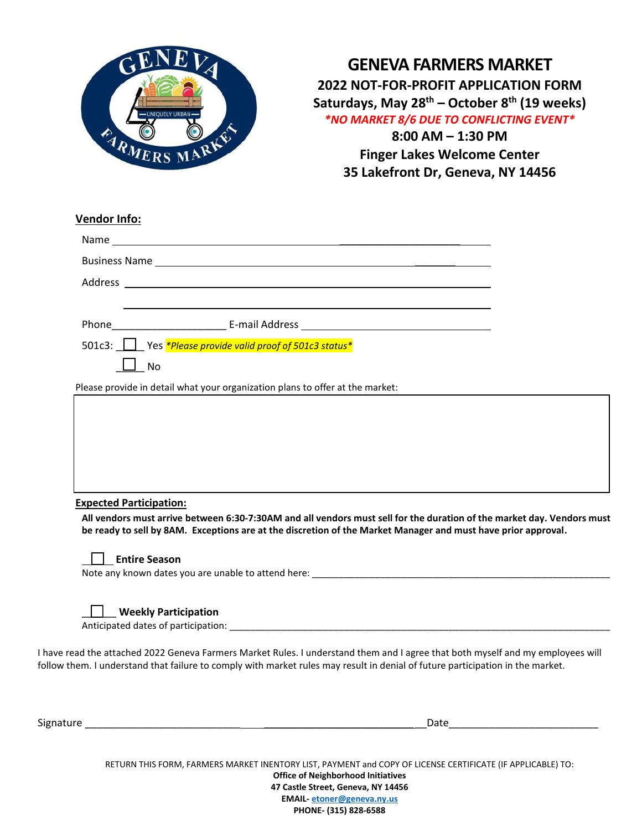

**GENEVA FARMERS MARKET 2022 NOT-FOR-PROFIT APPLICATION FORM Saturdays, May 28th – October 8th (19 weeks)** *\*NO MARKET 8/6 DUE TO CONFLICTING EVENT\** **8:00 AM – 1:30 PM Finger Lakes Welcome Center**

**35 Lakefront Dr, Geneva, NY 14456**

| <b>Vendor Info:</b>                                                              |  |  |  |  |
|----------------------------------------------------------------------------------|--|--|--|--|
|                                                                                  |  |  |  |  |
|                                                                                  |  |  |  |  |
|                                                                                  |  |  |  |  |
|                                                                                  |  |  |  |  |
| Phone <b>E-mail Address E-mail Address <i>CONDITERT AND RESIDENT ADDRESS</i></b> |  |  |  |  |
| 501c3: Ves *Please provide valid proof of 501c3 status*                          |  |  |  |  |
| No                                                                               |  |  |  |  |
| Please provide in detail what your organization plans to offer at the market:    |  |  |  |  |



**All vendors must arrive between 6:30-7:30AM and all vendors must sell for the duration of the market day. Vendors must be ready to sell by 8AM. Exceptions are at the discretion of the Market Manager and must have prior approval.** 

|--|

## **Entire Season**

Note any known dates you are unable to attend here:

## \_\_\_\_\_\_ **Weekly Participation**

Anticipated dates of participation:  $\blacksquare$ 

I have read the attached 2022 Geneva Farmers Market Rules. I understand them and I agree that both myself and my employees will follow them. I understand that failure to comply with market rules may result in denial of future participation in the market.

| Signature<br>$-$<br>$  -$ |  |  |
|---------------------------|--|--|
|                           |  |  |

Date  $\Box$ 

RETURN THIS FORM, FARMERS MARKET INENTORY LIST, PAYMENT and COPY OF LICENSE CERTIFICATE (IF APPLICABLE) TO: **Office of Neighborhood Initiatives 47 Castle Street, Geneva, NY 14456 EMAIL- [etoner@geneva.ny.us](mailto:etoner@geneva.ny.us) PHONE- (315) 828-6588**